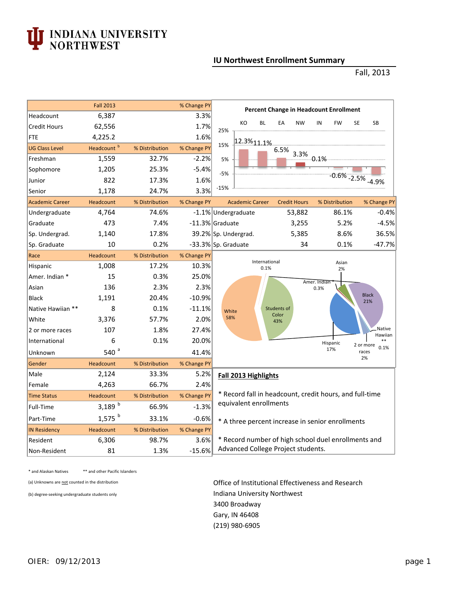## **TEAT ANDIANA UNIVERSITY**<br>
NORTHWEST

## **IU Northwest Enrollment Summary**

Fall, 2013

|                        | <b>Fall 2013</b>       |                | % Change PY | <b>Percent Change in Headcount Enrollment</b>                                          |  |  |  |  |  |  |  |
|------------------------|------------------------|----------------|-------------|----------------------------------------------------------------------------------------|--|--|--|--|--|--|--|
| Headcount              | 6,387                  | 3.3%           |             |                                                                                        |  |  |  |  |  |  |  |
| <b>Credit Hours</b>    | 62,556                 |                | 1.7%        | KO<br><b>BL</b><br>EA<br><b>SE</b><br><b>SB</b><br><b>NW</b><br>IN<br><b>FW</b><br>25% |  |  |  |  |  |  |  |
| <b>FTE</b>             | 4,225.2                |                | 1.6%        | 12.3%11.1%                                                                             |  |  |  |  |  |  |  |
| <b>UG Class Level</b>  | Headcount <sup>b</sup> | % Distribution | % Change PY | 15%<br>6.5%                                                                            |  |  |  |  |  |  |  |
| Freshman               | 1,559                  | 32.7%          | $-2.2%$     | 3.3%<br>$-0.1\%$<br>5%                                                                 |  |  |  |  |  |  |  |
| Sophomore              | 1,205                  | 25.3%          | $-5.4%$     | $-5%$                                                                                  |  |  |  |  |  |  |  |
| Junior                 | 822                    | 17.3%          | 1.6%        | $-0.6\%$ $-2.5\%$ $-4.9\%$                                                             |  |  |  |  |  |  |  |
| Senior                 | 1,178                  | 24.7%          | 3.3%        | $-15%$                                                                                 |  |  |  |  |  |  |  |
| <b>Academic Career</b> | Headcount              | % Distribution | % Change PY | % Change PY<br><b>Academic Career</b><br><b>Credit Hours</b><br>% Distribution         |  |  |  |  |  |  |  |
| Undergraduate          | 4,764                  | 74.6%          |             | $-0.4%$<br>-1.1% Undergraduate<br>53,882<br>86.1%                                      |  |  |  |  |  |  |  |
| Graduate               | 473                    | 7.4%           |             | 5.2%<br>$-4.5%$<br>-11.3% Graduate<br>3,255                                            |  |  |  |  |  |  |  |
| Sp. Undergrad.         | 1,140                  | 17.8%          |             | 5,385<br>8.6%<br>36.5%<br>39.2% Sp. Undergrad.                                         |  |  |  |  |  |  |  |
| Sp. Graduate           | 10                     | 0.2%           |             | 0.1%<br>$-47.7%$<br>-33.3% Sp. Graduate<br>34                                          |  |  |  |  |  |  |  |
| Race                   | Headcount              | % Distribution | % Change PY |                                                                                        |  |  |  |  |  |  |  |
| Hispanic               | 1,008                  | 17.2%          | 10.3%       | International<br>Asian<br>0.1%<br>2%                                                   |  |  |  |  |  |  |  |
| Amer. Indian *         | 15                     | 0.3%           | 25.0%       | Amer. Indian                                                                           |  |  |  |  |  |  |  |
| Asian                  | 136                    | 2.3%           | 2.3%        | 0.3%                                                                                   |  |  |  |  |  |  |  |
| <b>Black</b>           | 1,191                  | 20.4%          | $-10.9%$    | <b>Black</b><br>21%                                                                    |  |  |  |  |  |  |  |
| Native Hawiian **      | 8                      | 0.1%           | $-11.1%$    | Students of<br>White                                                                   |  |  |  |  |  |  |  |
| White                  | 3,376                  | 57.7%          | 2.0%        | Color<br>58%<br>43%                                                                    |  |  |  |  |  |  |  |
| 2 or more races        | 107                    | 1.8%           | 27.4%       | Native<br>Hawiian                                                                      |  |  |  |  |  |  |  |
| International          | 6                      | 0.1%           | 20.0%       | Hispanic<br>2 or more                                                                  |  |  |  |  |  |  |  |
| Unknown                | 540 <sup>a</sup>       |                | 41.4%       | 0.1%<br>17%<br>races                                                                   |  |  |  |  |  |  |  |
| Gender                 | Headcount              | % Distribution | % Change PY | 2%                                                                                     |  |  |  |  |  |  |  |
| Male                   | 2,124                  | 33.3%          | 5.2%        | Fall 2013 Highlights                                                                   |  |  |  |  |  |  |  |
| Female                 | 4,263                  | 66.7%          | 2.4%        |                                                                                        |  |  |  |  |  |  |  |
| <b>Time Status</b>     | Headcount              | % Distribution | % Change PY | * Record fall in headcount, credit hours, and full-time                                |  |  |  |  |  |  |  |
| Full-Time              | 3,189 $b$              | 66.9%          | $-1.3%$     | equivalent enrollments                                                                 |  |  |  |  |  |  |  |
| Part-Time              | $1,575$ <sup>b</sup>   | 33.1%          | $-0.6%$     | * A three percent increase in senior enrollments                                       |  |  |  |  |  |  |  |
| <b>IN Residency</b>    | Headcount              | % Distribution | % Change PY |                                                                                        |  |  |  |  |  |  |  |
| Resident               | 6,306                  | 98.7%          | 3.6%        | * Record number of high school duel enrollments and                                    |  |  |  |  |  |  |  |
| Non-Resident           | 81                     | 1.3%           | $-15.6%$    | Advanced College Project students.                                                     |  |  |  |  |  |  |  |

\* and Alaskan Natives \*\* and other Pacific Islanders

(a) Unknowns are not counted in the distribution **Office of Institutional Effectiveness and Research** (b) degree-seeking undergraduate students only Indiana University Northwest Gary, IN 46408 3400 Broadway (219) 980‐6905